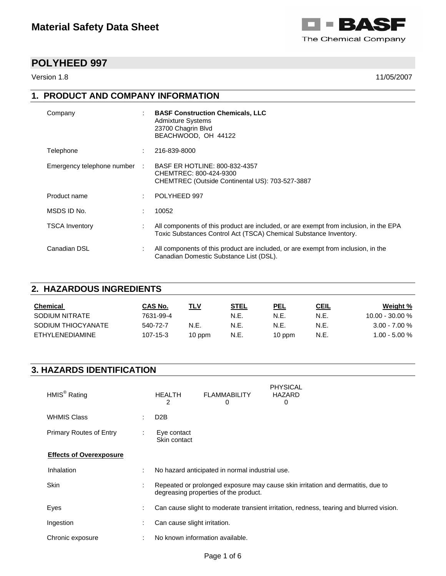

Version 1.8 11/05/2007

# **1. PRODUCT AND COMPANY INFORMATION**

| Company                      | <b>BASF Construction Chemicals, LLC</b><br><b>Admixture Systems</b><br>23700 Chagrin Blvd<br>BEACHWOOD, OH 44122                                           |
|------------------------------|------------------------------------------------------------------------------------------------------------------------------------------------------------|
| Telephone                    | 216-839-8000                                                                                                                                               |
| Emergency telephone number : | BASF ER HOTLINE: 800-832-4357<br>CHEMTREC: 800-424-9300<br>CHEMTREC (Outside Continental US): 703-527-3887                                                 |
| Product name                 | POLYHEED 997                                                                                                                                               |
| MSDS ID No.                  | 10052                                                                                                                                                      |
| <b>TSCA Inventory</b>        | All components of this product are included, or are exempt from inclusion, in the EPA<br>Toxic Substances Control Act (TSCA) Chemical Substance Inventory. |
| Canadian DSL                 | All components of this product are included, or are exempt from inclusion, in the<br>Canadian Domestic Substance List (DSL).                               |

## **2. HAZARDOUS INGREDIENTS**

| Chemical               | CAS No.   | TLV      | <u>STEL</u> | PEL    | <u>CEIL</u> | Weight %          |
|------------------------|-----------|----------|-------------|--------|-------------|-------------------|
| SODIUM NITRATE         | 7631-99-4 |          | N.E.        | N.E.   | N.E.        | $10.00 - 30.00 %$ |
| SODIUM THIOCYANATE     | 540-72-7  | N.E.     | N.E.        | N.E.   | N.E.        | $3.00 - 7.00 \%$  |
| <b>FTHYLENEDIAMINE</b> | 107-15-3  | $10$ ppm | N.E.        | 10 ppm | N.E.        | $1.00 - 5.00 %$   |

# **3. HAZARDS IDENTIFICATION**

| HMIS <sup>®</sup> Rating       |                     | <b>HEALTH</b><br>2           | <b>FLAMMABILITY</b><br>0                        | <b>PHYSICAL</b><br>HAZARD<br>0                                                          |
|--------------------------------|---------------------|------------------------------|-------------------------------------------------|-----------------------------------------------------------------------------------------|
| <b>WHMIS Class</b>             | ٠.                  | D <sub>2</sub> B             |                                                 |                                                                                         |
| Primary Routes of Entry        | ÷                   | Eye contact<br>Skin contact  |                                                 |                                                                                         |
| <b>Effects of Overexposure</b> |                     |                              |                                                 |                                                                                         |
| Inhalation                     | ÷                   |                              | No hazard anticipated in normal industrial use. |                                                                                         |
| <b>Skin</b>                    | ٠<br>$\overline{a}$ |                              | degreasing properties of the product.           | Repeated or prolonged exposure may cause skin irritation and dermatitis, due to         |
| Eyes                           | ٠<br>÷.             |                              |                                                 | Can cause slight to moderate transient irritation, redness, tearing and blurred vision. |
| Ingestion                      |                     | Can cause slight irritation. |                                                 |                                                                                         |
| Chronic exposure               |                     |                              | No known information available.                 |                                                                                         |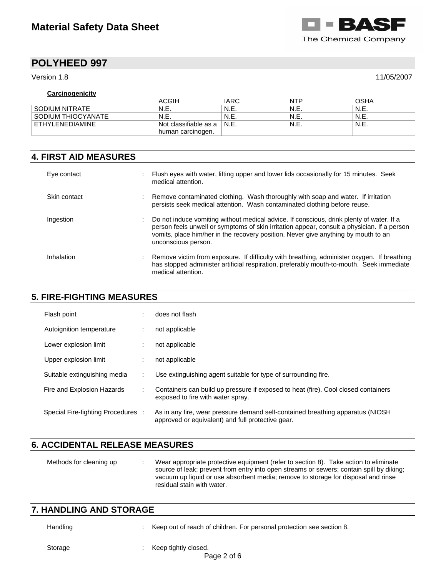

Version 1.8 11/05/2007

### **Carcinogenicity**

|                    | ACGIH                 | <b>IARC</b> | <b>NTP</b> | OSHA   |
|--------------------|-----------------------|-------------|------------|--------|
| . SODIUM NITRATE   | N.E.                  | ' N.E.      | ' N.E.     | N.E.   |
| SODIUM THIOCYANATE | N.E.                  | ' N.E.      | ' N.E.     | N.E.   |
| ETHYLENEDIAMINE    | Not classifiable as a | ' N.E.      | ' N.E.     | ` N.E. |
|                    | human carcinogen.     |             |            |        |

## **4. FIRST AID MEASURES**

| Eye contact  | Flush eyes with water, lifting upper and lower lids occasionally for 15 minutes. Seek<br>medical attention.                                                                                                                                                                                          |
|--------------|------------------------------------------------------------------------------------------------------------------------------------------------------------------------------------------------------------------------------------------------------------------------------------------------------|
| Skin contact | Remove contaminated clothing. Wash thoroughly with soap and water. If irritation<br>persists seek medical attention. Wash contaminated clothing before reuse.                                                                                                                                        |
| Ingestion    | Do not induce vomiting without medical advice. If conscious, drink plenty of water. If a<br>person feels unwell or symptoms of skin irritation appear, consult a physician. If a person<br>vomits, place him/her in the recovery position. Never give anything by mouth to an<br>unconscious person. |
| Inhalation   | Remove victim from exposure. If difficulty with breathing, administer oxygen. If breathing<br>has stopped administer artificial respiration, preferably mouth-to-mouth. Seek immediate<br>medical attention.                                                                                         |

## **5. FIRE-FIGHTING MEASURES**

| Flash point                        |   | does not flash                                                                                                                       |
|------------------------------------|---|--------------------------------------------------------------------------------------------------------------------------------------|
| Autoignition temperature           |   | not applicable                                                                                                                       |
| Lower explosion limit              |   | not applicable                                                                                                                       |
| Upper explosion limit              |   | not applicable                                                                                                                       |
| Suitable extinguishing media       |   | Use extinguishing agent suitable for type of surrounding fire.                                                                       |
| Fire and Explosion Hazards         | ÷ | Containers can build up pressure if exposed to heat (fire). Cool closed containers<br>exposed to fire with water spray.              |
| Special Fire-fighting Procedures : |   | As in any fire, wear pressure demand self-contained breathing apparatus (NIOSH)<br>approved or equivalent) and full protective gear. |

# **6. ACCIDENTAL RELEASE MEASURES**

| Methods for cleaning up | Wear appropriate protective equipment (refer to section 8). Take action to eliminate<br>source of leak; prevent from entry into open streams or sewers; contain spill by diking;<br>vacuum up liquid or use absorbent media; remove to storage for disposal and rinse<br>residual stain with water. |
|-------------------------|-----------------------------------------------------------------------------------------------------------------------------------------------------------------------------------------------------------------------------------------------------------------------------------------------------|
|                         |                                                                                                                                                                                                                                                                                                     |

# **7. HANDLING AND STORAGE**  Handling : Keep out of reach of children. For personal protection see section 8.

Storage : Keep tightly closed.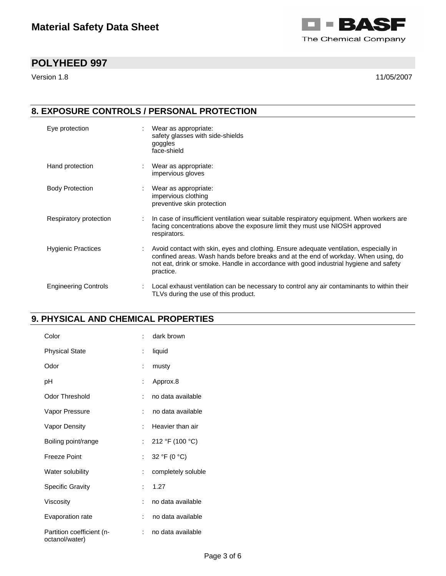

Version 1.8 11/05/2007

# **8. EXPOSURE CONTROLS / PERSONAL PROTECTION**

| Eye protection              | Wear as appropriate:<br>safety glasses with side-shields<br>goggles<br>face-shield                                                                                                                                                                                                 |
|-----------------------------|------------------------------------------------------------------------------------------------------------------------------------------------------------------------------------------------------------------------------------------------------------------------------------|
| Hand protection             | Wear as appropriate:<br>impervious gloves                                                                                                                                                                                                                                          |
| <b>Body Protection</b>      | Wear as appropriate:<br>impervious clothing<br>preventive skin protection                                                                                                                                                                                                          |
| Respiratory protection      | In case of insufficient ventilation wear suitable respiratory equipment. When workers are<br>facing concentrations above the exposure limit they must use NIOSH approved<br>respirators.                                                                                           |
| <b>Hygienic Practices</b>   | Avoid contact with skin, eyes and clothing. Ensure adequate ventilation, especially in<br>confined areas. Wash hands before breaks and at the end of workday. When using, do<br>not eat, drink or smoke. Handle in accordance with good industrial hygiene and safety<br>practice. |
| <b>Engineering Controls</b> | Local exhaust ventilation can be necessary to control any air contaminants to within their<br>TLVs during the use of this product.                                                                                                                                                 |

# **9. PHYSICAL AND CHEMICAL PROPERTIES**

| Color                                       |                      | dark brown         |
|---------------------------------------------|----------------------|--------------------|
| <b>Physical State</b>                       | ÷                    | liquid             |
| Odor                                        | t                    | musty              |
| рH                                          | t                    | Approx.8           |
| Odor Threshold                              | ÷                    | no data available  |
| Vapor Pressure                              | ÷                    | no data available  |
| Vapor Density                               | t                    | Heavier than air   |
| Boiling point/range                         | ÷.                   | 212 °F (100 °C)    |
| Freeze Point                                | t.                   | 32 °F (0 °C)       |
| Water solubility                            | ÷                    | completely soluble |
| <b>Specific Gravity</b>                     | $\ddot{\phantom{a}}$ | 1.27               |
| Viscosity                                   |                      | no data available  |
| Evaporation rate                            | ÷                    | no data available  |
| Partition coefficient (n-<br>octanol/water) |                      | no data available  |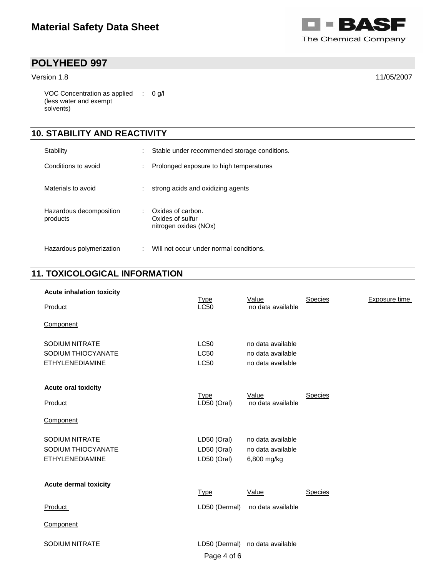

Version 1.8 11/05/2007

VOC Concentration as applied : 0 g/l (less water and exempt solvents)

## **10. STABILITY AND REACTIVITY**

| Stability                           | ÷ | Stable under recommended storage conditions.                   |
|-------------------------------------|---|----------------------------------------------------------------|
| Conditions to avoid                 | ÷ | Prolonged exposure to high temperatures                        |
| Materials to avoid                  |   | strong acids and oxidizing agents                              |
| Hazardous decomposition<br>products | ÷ | Oxides of carbon.<br>Oxides of sulfur<br>nitrogen oxides (NOx) |
| Hazardous polymerization            |   | Will not occur under normal conditions.                        |

# **11. TOXICOLOGICAL INFORMATION**

| <b>Acute inhalation toxicity</b>                                      |                                           |                                                       |                |               |
|-----------------------------------------------------------------------|-------------------------------------------|-------------------------------------------------------|----------------|---------------|
| <b>Product</b>                                                        | <u>Type</u><br>L <sub>C</sub> 50          | Value<br>no data available                            | <b>Species</b> | Exposure time |
| Component                                                             |                                           |                                                       |                |               |
| <b>SODIUM NITRATE</b><br>SODIUM THIOCYANATE                           | <b>LC50</b><br><b>LC50</b>                | no data available<br>no data available                |                |               |
| <b>ETHYLENEDIAMINE</b>                                                | LC50                                      | no data available                                     |                |               |
| <b>Acute oral toxicity</b><br>Product                                 | Type<br>LD50 (Oral)                       | Value<br>no data available                            | Species        |               |
| Component                                                             |                                           |                                                       |                |               |
| <b>SODIUM NITRATE</b><br>SODIUM THIOCYANATE<br><b>ETHYLENEDIAMINE</b> | LD50 (Oral)<br>LD50 (Oral)<br>LD50 (Oral) | no data available<br>no data available<br>6,800 mg/kg |                |               |
| <b>Acute dermal toxicity</b>                                          | <u>Type</u>                               | Value                                                 | <b>Species</b> |               |
| Product                                                               | LD50 (Dermal)                             | no data available                                     |                |               |
| Component                                                             |                                           |                                                       |                |               |
| <b>SODIUM NITRATE</b>                                                 | Page 4 of 6                               | LD50 (Dermal) no data available                       |                |               |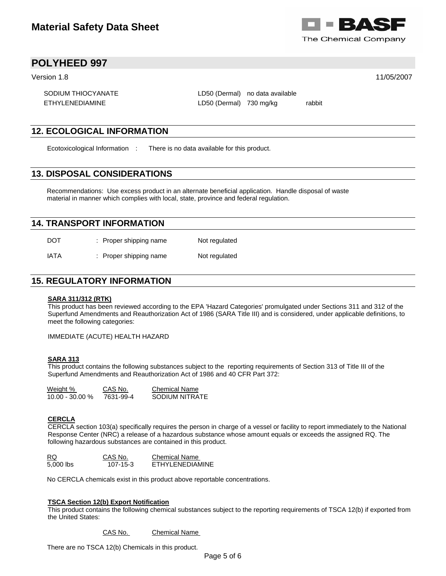

Version 1.8 11/05/2007

SODIUM THIOCYANATE LD50 (Dermal) no data available

ETHYLENEDIAMINE LD50 (Dermal) 730 mg/kg rabbit

### **12. ECOLOGICAL INFORMATION**

Ecotoxicological Information : There is no data available for this product.

### **13. DISPOSAL CONSIDERATIONS**

Recommendations: Use excess product in an alternate beneficial application. Handle disposal of waste material in manner which complies with local, state, province and federal regulation.

### **14. TRANSPORT INFORMATION**

| <b>DOT</b> | : Proper shipping name | Not regulated |
|------------|------------------------|---------------|
| IATA       | : Proper shipping name | Not regulated |

### **15. REGULATORY INFORMATION**

#### **SARA 311/312 (RTK)**

This product has been reviewed according to the EPA 'Hazard Categories' promulgated under Sections 311 and 312 of the Superfund Amendments and Reauthorization Act of 1986 (SARA Title III) and is considered, under applicable definitions, to meet the following categories:

IMMEDIATE (ACUTE) HEALTH HAZARD

#### **SARA 313**

This product contains the following substances subject to the reporting requirements of Section 313 of Title III of the Superfund Amendments and Reauthorization Act of 1986 and 40 CFR Part 372:

| <u>Weight %</u>   | CAS No.   | Chemical Name  |
|-------------------|-----------|----------------|
| $10.00 - 30.00 %$ | 7631-99-4 | SODIUM NITRATE |

#### **CERCLA**

CERCLA section 103(a) specifically requires the person in charge of a vessel or facility to report immediately to the National Response Center (NRC) a release of a hazardous substance whose amount equals or exceeds the assigned RQ. The following hazardous substances are contained in this product.

| RQ.       | CAS No.        | Chemical Name          |
|-----------|----------------|------------------------|
| 5,000 lbs | $107 - 15 - 3$ | <b>FTHYLENEDIAMINE</b> |

No CERCLA chemicals exist in this product above reportable concentrations.

#### **TSCA Section 12(b) Export Notification**

This product contains the following chemical substances subject to the reporting requirements of TSCA 12(b) if exported from the United States:

#### CAS No. Chemical Name

There are no TSCA 12(b) Chemicals in this product.